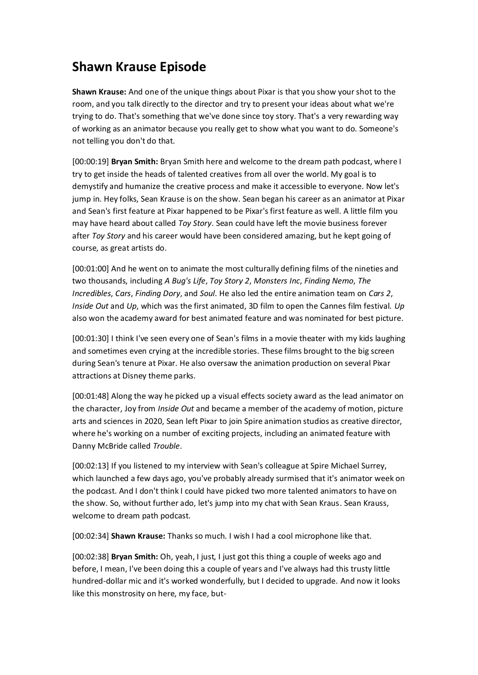## **Shawn Krause Episode**

**Shawn Krause:** And one of the unique things about Pixar is that you show your shot to the room, and you talk directly to the director and try to present your ideas about what we're trying to do. That's something that we've done since toy story. That's a very rewarding way of working as an animator because you really get to show what you want to do. Someone's not telling you don't do that.

[00:00:19] **Bryan Smith:** Bryan Smith here and welcome to the dream path podcast, where I try to get inside the heads of talented creatives from all over the world. My goal is to demystify and humanize the creative process and make it accessible to everyone. Now let's jump in. Hey folks, Sean Krause is on the show. Sean began his career as an animator at Pixar and Sean's first feature at Pixar happened to be Pixar's first feature as well. A little film you may have heard about called *Toy Story*. Sean could have left the movie business forever after *Toy Story* and his career would have been considered amazing, but he kept going of course, as great artists do.

[00:01:00] And he went on to animate the most culturally defining films of the nineties and two thousands, including *A Bug's Life*, *Toy Story 2*, *Monsters Inc*, *Finding Nemo*, *The Incredibles*, *Cars*, *Finding Dory*, and *Soul*. He also led the entire animation team on *Cars 2*, *Inside Out* and *Up*, which was the first animated, 3D film to open the Cannes film festival. *Up* also won the academy award for best animated feature and was nominated for best picture.

[00:01:30] I think I've seen every one of Sean's films in a movie theater with my kids laughing and sometimes even crying at the incredible stories. These films brought to the big screen during Sean's tenure at Pixar. He also oversaw the animation production on several Pixar attractions at Disney theme parks.

[00:01:48] Along the way he picked up a visual effects society award as the lead animator on the character, Joy from *Inside Out* and became a member of the academy of motion, picture arts and sciences in 2020, Sean left Pixar to join Spire animation studios as creative director, where he's working on a number of exciting projects, including an animated feature with Danny McBride called *Trouble*.

[00:02:13] If you listened to my interview with Sean's colleague at Spire Michael Surrey, which launched a few days ago, you've probably already surmised that it's animator week on the podcast. And I don't think I could have picked two more talented animators to have on the show. So, without further ado, let's jump into my chat with Sean Kraus. Sean Krauss, welcome to dream path podcast.

[00:02:34] **Shawn Krause:** Thanks so much. I wish I had a cool microphone like that.

[00:02:38] **Bryan Smith:** Oh, yeah, I just, I just got this thing a couple of weeks ago and before, I mean, I've been doing this a couple of years and I've always had this trusty little hundred-dollar mic and it's worked wonderfully, but I decided to upgrade. And now it looks like this monstrosity on here, my face, but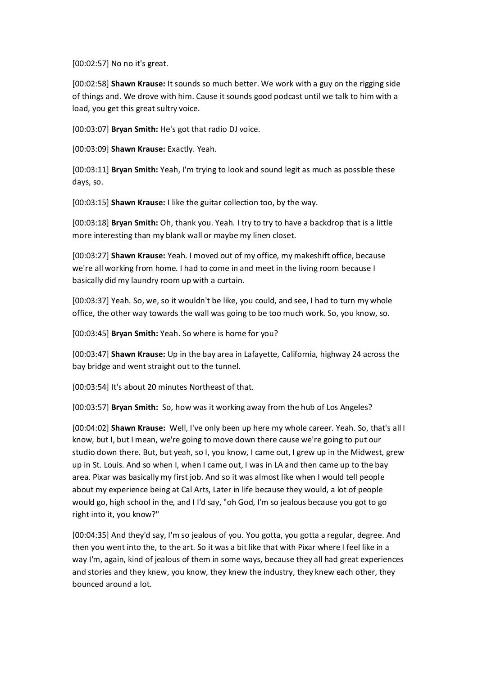[00:02:57] No no it's great.

[00:02:58] **Shawn Krause:** It sounds so much better. We work with a guy on the rigging side of things and. We drove with him. Cause it sounds good podcast until we talk to him with a load, you get this great sultry voice.

[00:03:07] **Bryan Smith:** He's got that radio DJ voice.

[00:03:09] **Shawn Krause:** Exactly. Yeah.

[00:03:11] **Bryan Smith:** Yeah, I'm trying to look and sound legit as much as possible these days, so.

[00:03:15] **Shawn Krause:** I like the guitar collection too, by the way.

[00:03:18] **Bryan Smith:** Oh, thank you. Yeah. I try to try to have a backdrop that is a little more interesting than my blank wall or maybe my linen closet.

[00:03:27] **Shawn Krause:** Yeah. I moved out of my office, my makeshift office, because we're all working from home. I had to come in and meet in the living room because I basically did my laundry room up with a curtain.

[00:03:37] Yeah. So, we, so it wouldn't be like, you could, and see, I had to turn my whole office, the other way towards the wall was going to be too much work. So, you know, so.

[00:03:45] **Bryan Smith:** Yeah. So where is home for you?

[00:03:47] **Shawn Krause:** Up in the bay area in Lafayette, California, highway 24 across the bay bridge and went straight out to the tunnel.

[00:03:54] It's about 20 minutes Northeast of that.

[00:03:57] **Bryan Smith:** So, how was it working away from the hub of Los Angeles?

[00:04:02] **Shawn Krause:** Well, I've only been up here my whole career. Yeah. So, that's all I know, but I, but I mean, we're going to move down there cause we're going to put our studio down there. But, but yeah, so I, you know, I came out, I grew up in the Midwest, grew up in St. Louis. And so when I, when I came out, I was in LA and then came up to the bay area. Pixar was basically my first job. And so it was almost like when I would tell people about my experience being at Cal Arts, Later in life because they would, a lot of people would go, high school in the, and I I'd say, "oh God, I'm so jealous because you got to go right into it, you know?"

[00:04:35] And they'd say, I'm so jealous of you. You gotta, you gotta a regular, degree. And then you went into the, to the art. So it was a bit like that with Pixar where I feel like in a way I'm, again, kind of jealous of them in some ways, because they all had great experiences and stories and they knew, you know, they knew the industry, they knew each other, they bounced around a lot.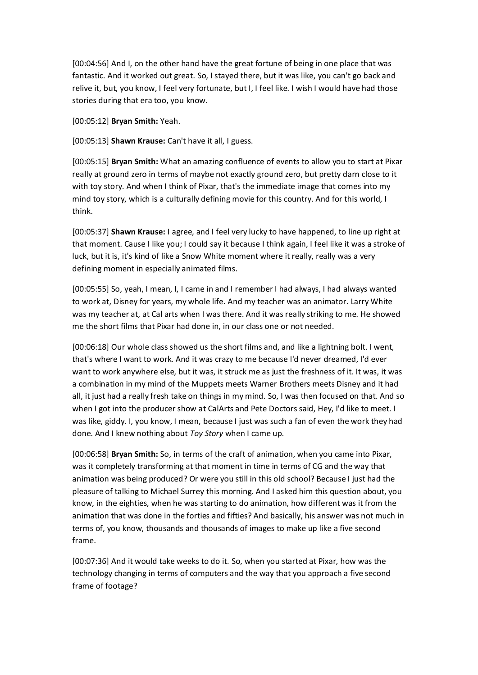[00:04:56] And I, on the other hand have the great fortune of being in one place that was fantastic. And it worked out great. So, I stayed there, but it was like, you can't go back and relive it, but, you know, I feel very fortunate, but I, I feel like. I wish I would have had those stories during that era too, you know.

[00:05:12] **Bryan Smith:** Yeah.

[00:05:13] **Shawn Krause:** Can't have it all, I guess.

[00:05:15] **Bryan Smith:** What an amazing confluence of events to allow you to start at Pixar really at ground zero in terms of maybe not exactly ground zero, but pretty darn close to it with toy story. And when I think of Pixar, that's the immediate image that comes into my mind toy story, which is a culturally defining movie for this country. And for this world, I think.

[00:05:37] **Shawn Krause:** I agree, and I feel very lucky to have happened, to line up right at that moment. Cause I like you; I could say it because I think again, I feel like it was a stroke of luck, but it is, it's kind of like a Snow White moment where it really, really was a very defining moment in especially animated films.

[00:05:55] So, yeah, I mean, I, I came in and I remember I had always, I had always wanted to work at, Disney for years, my whole life. And my teacher was an animator. Larry White was my teacher at, at Cal arts when I was there. And it was really striking to me. He showed me the short films that Pixar had done in, in our class one or not needed.

[00:06:18] Our whole class showed us the short films and, and like a lightning bolt. I went, that's where I want to work. And it was crazy to me because I'd never dreamed, I'd ever want to work anywhere else, but it was, it struck me as just the freshness of it. It was, it was a combination in my mind of the Muppets meets Warner Brothers meets Disney and it had all, it just had a really fresh take on things in my mind. So, I was then focused on that. And so when I got into the producer show at CalArts and Pete Doctors said, Hey, I'd like to meet. I was like, giddy. I, you know, I mean, because I just was such a fan of even the work they had done. And I knew nothing about *Toy Story* when I came up.

[00:06:58] **Bryan Smith:** So, in terms of the craft of animation, when you came into Pixar, was it completely transforming at that moment in time in terms of CG and the way that animation was being produced? Or were you still in this old school? Because I just had the pleasure of talking to Michael Surrey this morning. And I asked him this question about, you know, in the eighties, when he was starting to do animation, how different was it from the animation that was done in the forties and fifties? And basically, his answer was not much in terms of, you know, thousands and thousands of images to make up like a five second frame.

[00:07:36] And it would take weeks to do it. So, when you started at Pixar, how was the technology changing in terms of computers and the way that you approach a five second frame of footage?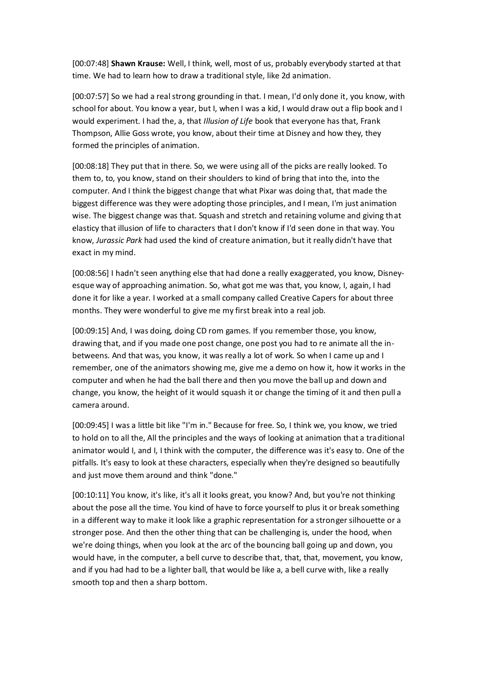[00:07:48] **Shawn Krause:** Well, I think, well, most of us, probably everybody started at that time. We had to learn how to draw a traditional style, like 2d animation.

[00:07:57] So we had a real strong grounding in that. I mean, I'd only done it, you know, with school for about. You know a year, but I, when I was a kid, I would draw out a flip book and I would experiment. I had the, a, that *Illusion of Life* book that everyone has that, Frank Thompson, Allie Goss wrote, you know, about their time at Disney and how they, they formed the principles of animation.

[00:08:18] They put that in there. So, we were using all of the picks are really looked. To them to, to, you know, stand on their shoulders to kind of bring that into the, into the computer. And I think the biggest change that what Pixar was doing that, that made the biggest difference was they were adopting those principles, and I mean, I'm just animation wise. The biggest change was that. Squash and stretch and retaining volume and giving that elasticy that illusion of life to characters that I don't know if I'd seen done in that way. You know, *Jurassic Park* had used the kind of creature animation, but it really didn't have that exact in my mind.

[00:08:56] I hadn't seen anything else that had done a really exaggerated, you know, Disneyesque way of approaching animation. So, what got me was that, you know, I, again, I had done it for like a year. I worked at a small company called Creative Capers for about three months. They were wonderful to give me my first break into a real job.

[00:09:15] And, I was doing, doing CD rom games. If you remember those, you know, drawing that, and if you made one post change, one post you had to re animate all the inbetweens. And that was, you know, it was really a lot of work. So when I came up and I remember, one of the animators showing me, give me a demo on how it, how it works in the computer and when he had the ball there and then you move the ball up and down and change, you know, the height of it would squash it or change the timing of it and then pull a camera around.

[00:09:45] I was a little bit like "I'm in." Because for free. So, I think we, you know, we tried to hold on to all the, All the principles and the ways of looking at animation that a traditional animator would I, and I, I think with the computer, the difference was it's easy to. One of the pitfalls. It's easy to look at these characters, especially when they're designed so beautifully and just move them around and think "done."

[00:10:11] You know, it's like, it's all it looks great, you know? And, but you're not thinking about the pose all the time. You kind of have to force yourself to plus it or break something in a different way to make it look like a graphic representation for a stronger silhouette or a stronger pose. And then the other thing that can be challenging is, under the hood, when we're doing things, when you look at the arc of the bouncing ball going up and down, you would have, in the computer, a bell curve to describe that, that, that, movement, you know, and if you had had to be a lighter ball, that would be like a, a bell curve with, like a really smooth top and then a sharp bottom.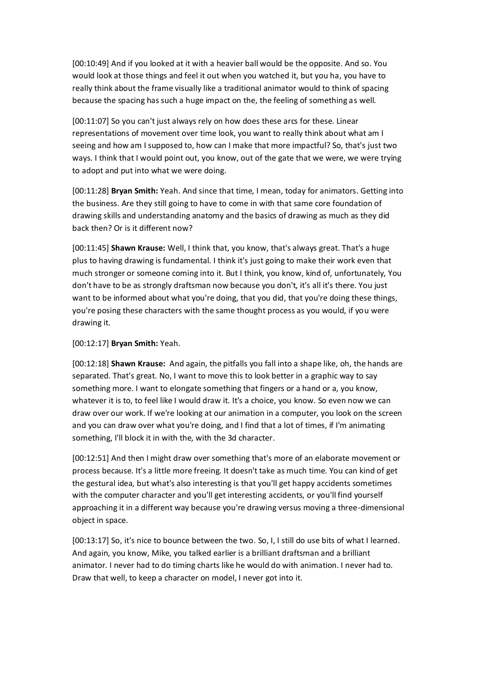[00:10:49] And if you looked at it with a heavier ball would be the opposite. And so. You would look at those things and feel it out when you watched it, but you ha, you have to really think about the frame visually like a traditional animator would to think of spacing because the spacing has such a huge impact on the, the feeling of something as well.

[00:11:07] So you can't just always rely on how does these arcs for these. Linear representations of movement over time look, you want to really think about what am I seeing and how am I supposed to, how can I make that more impactful? So, that's just two ways. I think that I would point out, you know, out of the gate that we were, we were trying to adopt and put into what we were doing.

[00:11:28] **Bryan Smith:** Yeah. And since that time, I mean, today for animators. Getting into the business. Are they still going to have to come in with that same core foundation of drawing skills and understanding anatomy and the basics of drawing as much as they did back then? Or is it different now?

[00:11:45] **Shawn Krause:** Well, I think that, you know, that's always great. That's a huge plus to having drawing is fundamental. I think it's just going to make their work even that much stronger or someone coming into it. But I think, you know, kind of, unfortunately, You don't have to be as strongly draftsman now because you don't, it's all it's there. You just want to be informed about what you're doing, that you did, that you're doing these things, you're posing these characters with the same thought process as you would, if you were drawing it.

## [00:12:17] **Bryan Smith:** Yeah.

[00:12:18] **Shawn Krause:** And again, the pitfalls you fall into a shape like, oh, the hands are separated. That's great. No, I want to move this to look better in a graphic way to say something more. I want to elongate something that fingers or a hand or a, you know, whatever it is to, to feel like I would draw it. It's a choice, you know. So even now we can draw over our work. If we're looking at our animation in a computer, you look on the screen and you can draw over what you're doing, and I find that a lot of times, if I'm animating something, I'll block it in with the, with the 3d character.

[00:12:51] And then I might draw over something that's more of an elaborate movement or process because. It's a little more freeing. It doesn't take as much time. You can kind of get the gestural idea, but what's also interesting is that you'll get happy accidents sometimes with the computer character and you'll get interesting accidents, or you'll find yourself approaching it in a different way because you're drawing versus moving a three-dimensional object in space.

[00:13:17] So, it's nice to bounce between the two. So, I, I still do use bits of what I learned. And again, you know, Mike, you talked earlier is a brilliant draftsman and a brilliant animator. I never had to do timing charts like he would do with animation. I never had to. Draw that well, to keep a character on model, I never got into it.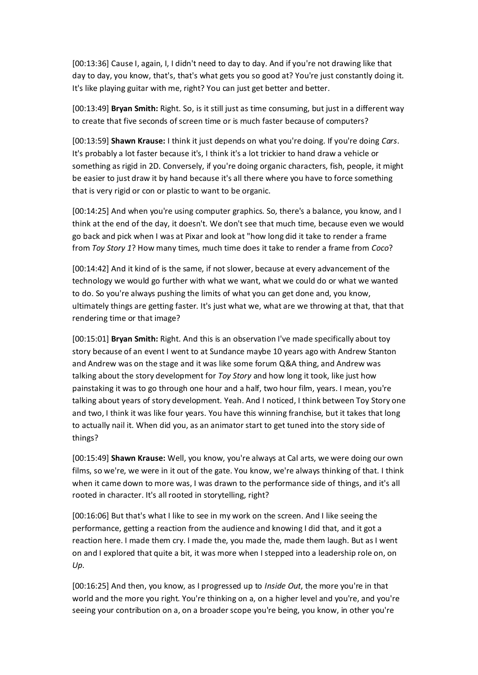[00:13:36] Cause I, again, I, I didn't need to day to day. And if you're not drawing like that day to day, you know, that's, that's what gets you so good at? You're just constantly doing it. It's like playing guitar with me, right? You can just get better and better.

[00:13:49] **Bryan Smith:** Right. So, is it still just as time consuming, but just in a different way to create that five seconds of screen time or is much faster because of computers?

[00:13:59] **Shawn Krause:** I think it just depends on what you're doing. If you're doing *Cars*. It's probably a lot faster because it's, I think it's a lot trickier to hand draw a vehicle or something as rigid in 2D. Conversely, if you're doing organic characters, fish, people, it might be easier to just draw it by hand because it's all there where you have to force something that is very rigid or con or plastic to want to be organic.

[00:14:25] And when you're using computer graphics. So, there's a balance, you know, and I think at the end of the day, it doesn't. We don't see that much time, because even we would go back and pick when I was at Pixar and look at "how long did it take to render a frame from *Toy Story 1*? How many times, much time does it take to render a frame from *Coco*?

[00:14:42] And it kind of is the same, if not slower, because at every advancement of the technology we would go further with what we want, what we could do or what we wanted to do. So you're always pushing the limits of what you can get done and, you know, ultimately things are getting faster. It's just what we, what are we throwing at that, that that rendering time or that image?

[00:15:01] **Bryan Smith:** Right. And this is an observation I've made specifically about toy story because of an event I went to at Sundance maybe 10 years ago with Andrew Stanton and Andrew was on the stage and it was like some forum Q&A thing, and Andrew was talking about the story development for *Toy Story* and how long it took, like just how painstaking it was to go through one hour and a half, two hour film, years. I mean, you're talking about years of story development. Yeah. And I noticed, I think between Toy Story one and two, I think it was like four years. You have this winning franchise, but it takes that long to actually nail it. When did you, as an animator start to get tuned into the story side of things?

[00:15:49] **Shawn Krause:** Well, you know, you're always at Cal arts, we were doing our own films, so we're, we were in it out of the gate. You know, we're always thinking of that. I think when it came down to more was, I was drawn to the performance side of things, and it's all rooted in character. It's all rooted in storytelling, right?

[00:16:06] But that's what I like to see in my work on the screen. And I like seeing the performance, getting a reaction from the audience and knowing I did that, and it got a reaction here. I made them cry. I made the, you made the, made them laugh. But as I went on and I explored that quite a bit, it was more when I stepped into a leadership role on, on *Up*.

[00:16:25] And then, you know, as I progressed up to *Inside Out*, the more you're in that world and the more you right. You're thinking on a, on a higher level and you're, and you're seeing your contribution on a, on a broader scope you're being, you know, in other you're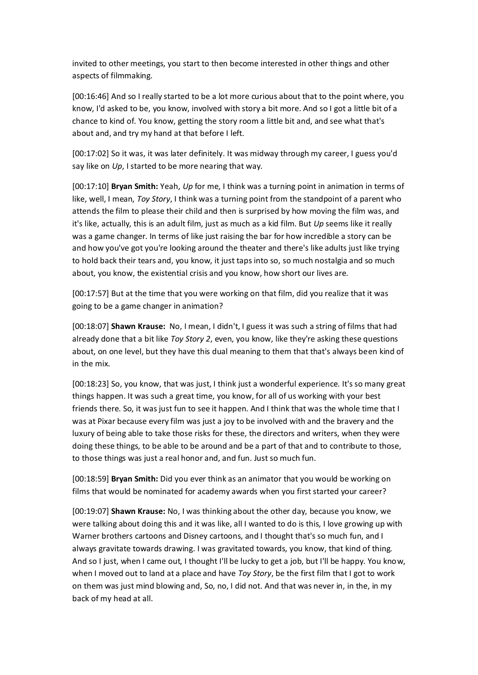invited to other meetings, you start to then become interested in other things and other aspects of filmmaking.

[00:16:46] And so I really started to be a lot more curious about that to the point where, you know, I'd asked to be, you know, involved with story a bit more. And so I got a little bit of a chance to kind of. You know, getting the story room a little bit and, and see what that's about and, and try my hand at that before I left.

[00:17:02] So it was, it was later definitely. It was midway through my career, I guess you'd say like on *Up*, I started to be more nearing that way.

[00:17:10] **Bryan Smith:** Yeah, *Up* for me, I think was a turning point in animation in terms of like, well, I mean, *Toy Story*, I think was a turning point from the standpoint of a parent who attends the film to please their child and then is surprised by how moving the film was, and it's like, actually, this is an adult film, just as much as a kid film. But *Up* seems like it really was a game changer. In terms of like just raising the bar for how incredible a story can be and how you've got you're looking around the theater and there's like adults just like trying to hold back their tears and, you know, it just taps into so, so much nostalgia and so much about, you know, the existential crisis and you know, how short our lives are.

[00:17:57] But at the time that you were working on that film, did you realize that it was going to be a game changer in animation?

[00:18:07] **Shawn Krause:** No, I mean, I didn't, I guess it was such a string of films that had already done that a bit like *Toy Story 2*, even, you know, like they're asking these questions about, on one level, but they have this dual meaning to them that that's always been kind of in the mix.

[00:18:23] So, you know, that was just, I think just a wonderful experience. It's so many great things happen. It was such a great time, you know, for all of us working with your best friends there. So, it was just fun to see it happen. And I think that was the whole time that I was at Pixar because every film was just a joy to be involved with and the bravery and the luxury of being able to take those risks for these, the directors and writers, when they were doing these things, to be able to be around and be a part of that and to contribute to those, to those things was just a real honor and, and fun. Just so much fun.

[00:18:59] **Bryan Smith:** Did you ever think as an animator that you would be working on films that would be nominated for academy awards when you first started your career?

[00:19:07] **Shawn Krause:** No, I was thinking about the other day, because you know, we were talking about doing this and it was like, all I wanted to do is this, I love growing up with Warner brothers cartoons and Disney cartoons, and I thought that's so much fun, and I always gravitate towards drawing. I was gravitated towards, you know, that kind of thing. And so I just, when I came out, I thought I'll be lucky to get a job, but I'll be happy. You know, when I moved out to land at a place and have *Toy Story*, be the first film that I got to work on them was just mind blowing and, So, no, I did not. And that was never in, in the, in my back of my head at all.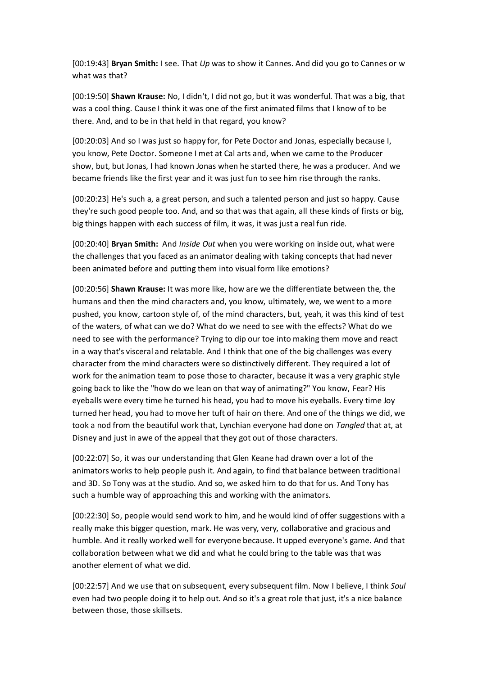[00:19:43] **Bryan Smith:** I see. That *Up* was to show it Cannes. And did you go to Cannes or w what was that?

[00:19:50] **Shawn Krause:** No, I didn't, I did not go, but it was wonderful. That was a big, that was a cool thing. Cause I think it was one of the first animated films that I know of to be there. And, and to be in that held in that regard, you know?

[00:20:03] And so I was just so happy for, for Pete Doctor and Jonas, especially because I, you know, Pete Doctor. Someone I met at Cal arts and, when we came to the Producer show, but, but Jonas, I had known Jonas when he started there, he was a producer. And we became friends like the first year and it was just fun to see him rise through the ranks.

[00:20:23] He's such a, a great person, and such a talented person and just so happy. Cause they're such good people too. And, and so that was that again, all these kinds of firsts or big, big things happen with each success of film, it was, it was just a real fun ride.

[00:20:40] **Bryan Smith:** And *Inside Out* when you were working on inside out, what were the challenges that you faced as an animator dealing with taking concepts that had never been animated before and putting them into visual form like emotions?

[00:20:56] **Shawn Krause:** It was more like, how are we the differentiate between the, the humans and then the mind characters and, you know, ultimately, we, we went to a more pushed, you know, cartoon style of, of the mind characters, but, yeah, it was this kind of test of the waters, of what can we do? What do we need to see with the effects? What do we need to see with the performance? Trying to dip our toe into making them move and react in a way that's visceral and relatable. And I think that one of the big challenges was every character from the mind characters were so distinctively different. They required a lot of work for the animation team to pose those to character, because it was a very graphic style going back to like the "how do we lean on that way of animating?" You know, Fear? His eyeballs were every time he turned his head, you had to move his eyeballs. Every time Joy turned her head, you had to move her tuft of hair on there. And one of the things we did, we took a nod from the beautiful work that, Lynchian everyone had done on *Tangled* that at, at Disney and just in awe of the appeal that they got out of those characters.

[00:22:07] So, it was our understanding that Glen Keane had drawn over a lot of the animators works to help people push it. And again, to find that balance between traditional and 3D. So Tony was at the studio. And so, we asked him to do that for us. And Tony has such a humble way of approaching this and working with the animators.

[00:22:30] So, people would send work to him, and he would kind of offer suggestions with a really make this bigger question, mark. He was very, very, collaborative and gracious and humble. And it really worked well for everyone because. It upped everyone's game. And that collaboration between what we did and what he could bring to the table was that was another element of what we did.

[00:22:57] And we use that on subsequent, every subsequent film. Now I believe, I think *Soul* even had two people doing it to help out. And so it's a great role that just, it's a nice balance between those, those skillsets.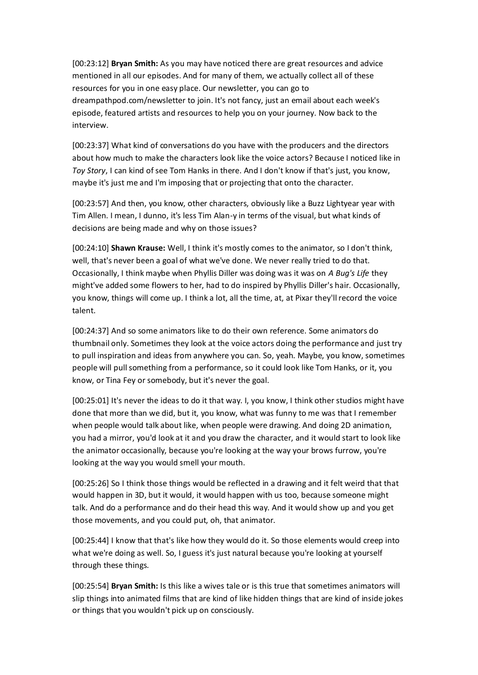[00:23:12] **Bryan Smith:** As you may have noticed there are great resources and advice mentioned in all our episodes. And for many of them, we actually collect all of these resources for you in one easy place. Our newsletter, you can go to dreampathpod.com/newsletter to join. It's not fancy, just an email about each week's episode, featured artists and resources to help you on your journey. Now back to the interview.

[00:23:37] What kind of conversations do you have with the producers and the directors about how much to make the characters look like the voice actors? Because I noticed like in *Toy Story*, I can kind of see Tom Hanks in there. And I don't know if that's just, you know, maybe it's just me and I'm imposing that or projecting that onto the character.

[00:23:57] And then, you know, other characters, obviously like a Buzz Lightyear year with Tim Allen. I mean, I dunno, it's less Tim Alan-y in terms of the visual, but what kinds of decisions are being made and why on those issues?

[00:24:10] **Shawn Krause:** Well, I think it's mostly comes to the animator, so I don't think, well, that's never been a goal of what we've done. We never really tried to do that. Occasionally, I think maybe when Phyllis Diller was doing was it was on *A Bug's Life* they might've added some flowers to her, had to do inspired by Phyllis Diller's hair. Occasionally, you know, things will come up. I think a lot, all the time, at, at Pixar they'll record the voice talent.

[00:24:37] And so some animators like to do their own reference. Some animators do thumbnail only. Sometimes they look at the voice actors doing the performance and just try to pull inspiration and ideas from anywhere you can. So, yeah. Maybe, you know, sometimes people will pull something from a performance, so it could look like Tom Hanks, or it, you know, or Tina Fey or somebody, but it's never the goal.

[00:25:01] It's never the ideas to do it that way. I, you know, I think other studios might have done that more than we did, but it, you know, what was funny to me was that I remember when people would talk about like, when people were drawing. And doing 2D animation, you had a mirror, you'd look at it and you draw the character, and it would start to look like the animator occasionally, because you're looking at the way your brows furrow, you're looking at the way you would smell your mouth.

[00:25:26] So I think those things would be reflected in a drawing and it felt weird that that would happen in 3D, but it would, it would happen with us too, because someone might talk. And do a performance and do their head this way. And it would show up and you get those movements, and you could put, oh, that animator.

[00:25:44] I know that that's like how they would do it. So those elements would creep into what we're doing as well. So, I guess it's just natural because you're looking at yourself through these things.

[00:25:54] **Bryan Smith:** Is this like a wives tale or is this true that sometimes animators will slip things into animated films that are kind of like hidden things that are kind of inside jokes or things that you wouldn't pick up on consciously.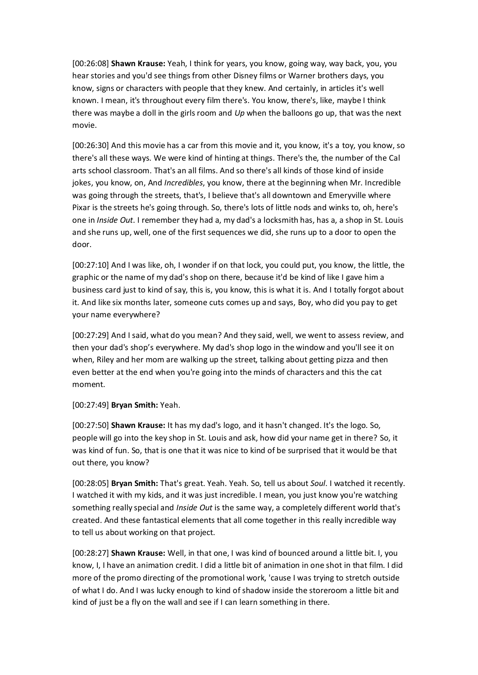[00:26:08] **Shawn Krause:** Yeah, I think for years, you know, going way, way back, you, you hear stories and you'd see things from other Disney films or Warner brothers days, you know, signs or characters with people that they knew. And certainly, in articles it's well known. I mean, it's throughout every film there's. You know, there's, like, maybe I think there was maybe a doll in the girls room and *Up* when the balloons go up, that was the next movie.

[00:26:30] And this movie has a car from this movie and it, you know, it's a toy, you know, so there's all these ways. We were kind of hinting at things. There's the, the number of the Cal arts school classroom. That's an all films. And so there's all kinds of those kind of inside jokes, you know, on, And *Incredibles*, you know, there at the beginning when Mr. Incredible was going through the streets, that's, I believe that's all downtown and Emeryville where Pixar is the streets he's going through. So, there's lots of little nods and winks to, oh, here's one in *Inside Out*. I remember they had a, my dad's a locksmith has, has a, a shop in St. Louis and she runs up, well, one of the first sequences we did, she runs up to a door to open the door.

[00:27:10] And I was like, oh, I wonder if on that lock, you could put, you know, the little, the graphic or the name of my dad's shop on there, because it'd be kind of like I gave him a business card just to kind of say, this is, you know, this is what it is. And I totally forgot about it. And like six months later, someone cuts comes up and says, Boy, who did you pay to get your name everywhere?

[00:27:29] And I said, what do you mean? And they said, well, we went to assess review, and then your dad's shop's everywhere. My dad's shop logo in the window and you'll see it on when, Riley and her mom are walking up the street, talking about getting pizza and then even better at the end when you're going into the minds of characters and this the cat moment.

[00:27:49] **Bryan Smith:** Yeah.

[00:27:50] **Shawn Krause:** It has my dad's logo, and it hasn't changed. It's the logo. So, people will go into the key shop in St. Louis and ask, how did your name get in there? So, it was kind of fun. So, that is one that it was nice to kind of be surprised that it would be that out there, you know?

[00:28:05] **Bryan Smith:** That's great. Yeah. Yeah. So, tell us about *Soul*. I watched it recently. I watched it with my kids, and it was just incredible. I mean, you just know you're watching something really special and *Inside Out* is the same way, a completely different world that's created. And these fantastical elements that all come together in this really incredible way to tell us about working on that project.

[00:28:27] **Shawn Krause:** Well, in that one, I was kind of bounced around a little bit. I, you know, I, I have an animation credit. I did a little bit of animation in one shot in that film. I did more of the promo directing of the promotional work, 'cause I was trying to stretch outside of what I do. And I was lucky enough to kind of shadow inside the storeroom a little bit and kind of just be a fly on the wall and see if I can learn something in there.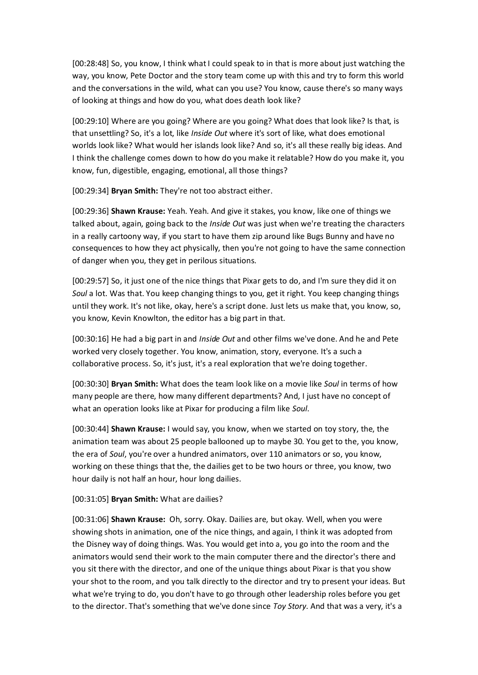[00:28:48] So, you know, I think what I could speak to in that is more about just watching the way, you know, Pete Doctor and the story team come up with this and try to form this world and the conversations in the wild, what can you use? You know, cause there's so many ways of looking at things and how do you, what does death look like?

[00:29:10] Where are you going? Where are you going? What does that look like? Is that, is that unsettling? So, it's a lot, like *Inside Out* where it's sort of like, what does emotional worlds look like? What would her islands look like? And so, it's all these really big ideas. And I think the challenge comes down to how do you make it relatable? How do you make it, you know, fun, digestible, engaging, emotional, all those things?

[00:29:34] **Bryan Smith:** They're not too abstract either.

[00:29:36] **Shawn Krause:** Yeah. Yeah. And give it stakes, you know, like one of things we talked about, again, going back to the *Inside Out* was just when we're treating the characters in a really cartoony way, if you start to have them zip around like Bugs Bunny and have no consequences to how they act physically, then you're not going to have the same connection of danger when you, they get in perilous situations.

[00:29:57] So, it just one of the nice things that Pixar gets to do, and I'm sure they did it on *Soul* a lot. Was that. You keep changing things to you, get it right. You keep changing things until they work. It's not like, okay, here's a script done. Just lets us make that, you know, so, you know, Kevin Knowlton, the editor has a big part in that.

[00:30:16] He had a big part in and *Inside Out* and other films we've done. And he and Pete worked very closely together. You know, animation, story, everyone. It's a such a collaborative process. So, it's just, it's a real exploration that we're doing together.

[00:30:30] **Bryan Smith:** What does the team look like on a movie like *Soul* in terms of how many people are there, how many different departments? And, I just have no concept of what an operation looks like at Pixar for producing a film like *Soul*.

[00:30:44] **Shawn Krause:** I would say, you know, when we started on toy story, the, the animation team was about 25 people ballooned up to maybe 30. You get to the, you know, the era of *Soul*, you're over a hundred animators, over 110 animators or so, you know, working on these things that the, the dailies get to be two hours or three, you know, two hour daily is not half an hour, hour long dailies.

[00:31:05] **Bryan Smith:** What are dailies?

[00:31:06] **Shawn Krause:** Oh, sorry. Okay. Dailies are, but okay. Well, when you were showing shots in animation, one of the nice things, and again, I think it was adopted from the Disney way of doing things. Was. You would get into a, you go into the room and the animators would send their work to the main computer there and the director's there and you sit there with the director, and one of the unique things about Pixar is that you show your shot to the room, and you talk directly to the director and try to present your ideas. But what we're trying to do, you don't have to go through other leadership roles before you get to the director. That's something that we've done since *Toy Story*. And that was a very, it's a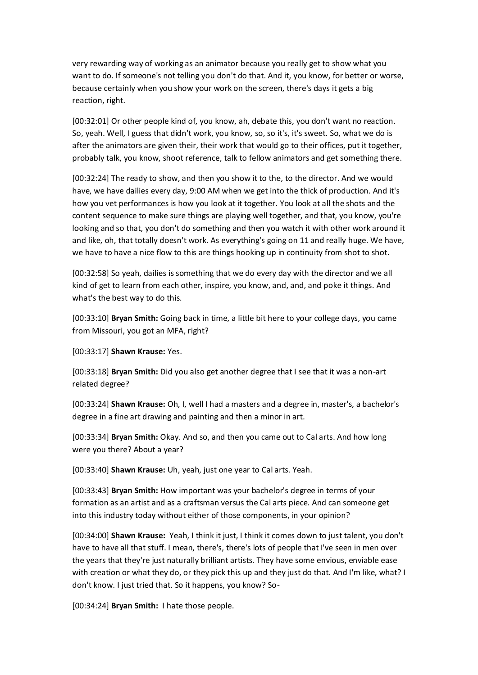very rewarding way of working as an animator because you really get to show what you want to do. If someone's not telling you don't do that. And it, you know, for better or worse, because certainly when you show your work on the screen, there's days it gets a big reaction, right.

[00:32:01] Or other people kind of, you know, ah, debate this, you don't want no reaction. So, yeah. Well, I guess that didn't work, you know, so, so it's, it's sweet. So, what we do is after the animators are given their, their work that would go to their offices, put it together, probably talk, you know, shoot reference, talk to fellow animators and get something there.

[00:32:24] The ready to show, and then you show it to the, to the director. And we would have, we have dailies every day, 9:00 AM when we get into the thick of production. And it's how you vet performances is how you look at it together. You look at all the shots and the content sequence to make sure things are playing well together, and that, you know, you're looking and so that, you don't do something and then you watch it with other work around it and like, oh, that totally doesn't work. As everything's going on 11 and really huge. We have, we have to have a nice flow to this are things hooking up in continuity from shot to shot.

[00:32:58] So yeah, dailies is something that we do every day with the director and we all kind of get to learn from each other, inspire, you know, and, and, and poke it things. And what's the best way to do this.

[00:33:10] **Bryan Smith:** Going back in time, a little bit here to your college days, you came from Missouri, you got an MFA, right?

[00:33:17] **Shawn Krause:** Yes.

[00:33:18] **Bryan Smith:** Did you also get another degree that I see that it was a non-art related degree?

[00:33:24] **Shawn Krause:** Oh, I, well I had a masters and a degree in, master's, a bachelor's degree in a fine art drawing and painting and then a minor in art.

[00:33:34] **Bryan Smith:** Okay. And so, and then you came out to Cal arts. And how long were you there? About a year?

[00:33:40] **Shawn Krause:** Uh, yeah, just one year to Cal arts. Yeah.

[00:33:43] **Bryan Smith:** How important was your bachelor's degree in terms of your formation as an artist and as a craftsman versus the Cal arts piece. And can someone get into this industry today without either of those components, in your opinion?

[00:34:00] **Shawn Krause:** Yeah, I think it just, I think it comes down to just talent, you don't have to have all that stuff. I mean, there's, there's lots of people that I've seen in men over the years that they're just naturally brilliant artists. They have some envious, enviable ease with creation or what they do, or they pick this up and they just do that. And I'm like, what? I don't know. I just tried that. So it happens, you know? So-

[00:34:24] **Bryan Smith:** I hate those people.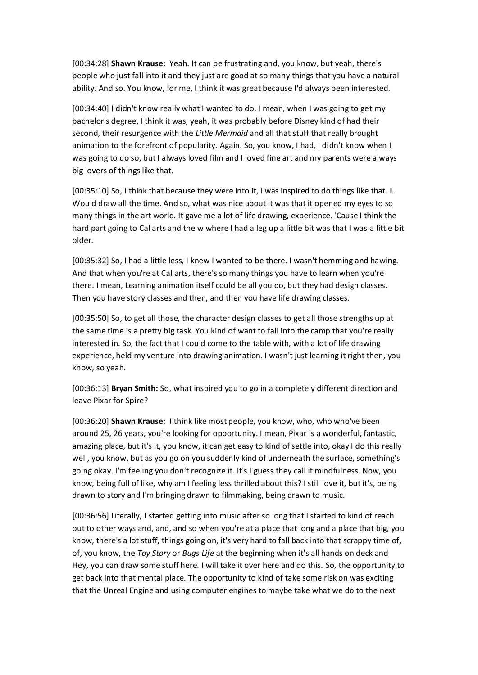[00:34:28] **Shawn Krause:** Yeah. It can be frustrating and, you know, but yeah, there's people who just fall into it and they just are good at so many things that you have a natural ability. And so. You know, for me, I think it was great because I'd always been interested.

[00:34:40] I didn't know really what I wanted to do. I mean, when I was going to get my bachelor's degree, I think it was, yeah, it was probably before Disney kind of had their second, their resurgence with the *Little Mermaid* and all that stuff that really brought animation to the forefront of popularity. Again. So, you know, I had, I didn't know when I was going to do so, but I always loved film and I loved fine art and my parents were always big lovers of things like that.

[00:35:10] So, I think that because they were into it, I was inspired to do things like that. I. Would draw all the time. And so, what was nice about it was that it opened my eyes to so many things in the art world. It gave me a lot of life drawing, experience. 'Cause I think the hard part going to Cal arts and the w where I had a leg up a little bit was that I was a little bit older.

[00:35:32] So, I had a little less, I knew I wanted to be there. I wasn't hemming and hawing. And that when you're at Cal arts, there's so many things you have to learn when you're there. I mean, Learning animation itself could be all you do, but they had design classes. Then you have story classes and then, and then you have life drawing classes.

[00:35:50] So, to get all those, the character design classes to get all those strengths up at the same time is a pretty big task. You kind of want to fall into the camp that you're really interested in. So, the fact that I could come to the table with, with a lot of life drawing experience, held my venture into drawing animation. I wasn't just learning it right then, you know, so yeah.

[00:36:13] **Bryan Smith:** So, what inspired you to go in a completely different direction and leave Pixar for Spire?

[00:36:20] **Shawn Krause:** I think like most people, you know, who, who who've been around 25, 26 years, you're looking for opportunity. I mean, Pixar is a wonderful, fantastic, amazing place, but it's it, you know, it can get easy to kind of settle into, okay I do this really well, you know, but as you go on you suddenly kind of underneath the surface, something's going okay. I'm feeling you don't recognize it. It's I guess they call it mindfulness. Now, you know, being full of like, why am I feeling less thrilled about this? I still love it, but it's, being drawn to story and I'm bringing drawn to filmmaking, being drawn to music.

[00:36:56] Literally, I started getting into music after so long that I started to kind of reach out to other ways and, and, and so when you're at a place that long and a place that big, you know, there's a lot stuff, things going on, it's very hard to fall back into that scrappy time of, of, you know, the *Toy Story* or *Bugs Life* at the beginning when it's all hands on deck and Hey, you can draw some stuff here. I will take it over here and do this. So, the opportunity to get back into that mental place. The opportunity to kind of take some risk on was exciting that the Unreal Engine and using computer engines to maybe take what we do to the next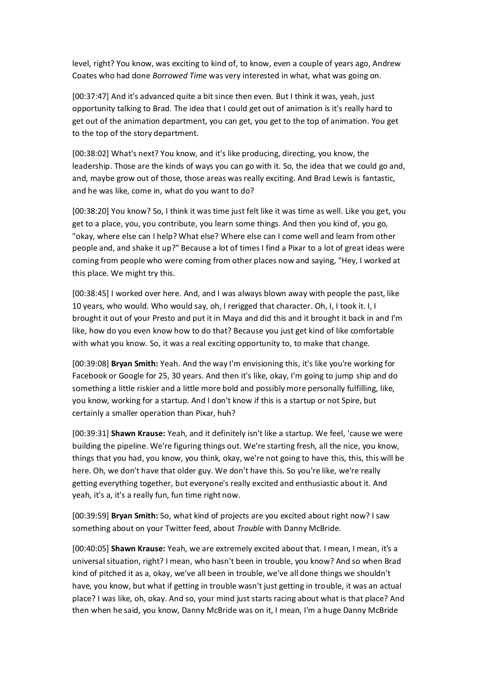level, right? You know, was exciting to kind of, to know, even a couple of years ago, Andrew Coates who had done *Borrowed Time* was very interested in what, what was going on.

[00:37:47] And it's advanced quite a bit since then even. But I think it was, yeah, just opportunity talking to Brad. The idea that I could get out of animation is it's really hard to get out of the animation department, you can get, you get to the top of animation. You get to the top of the story department.

[00:38:02] What's next? You know, and it's like producing, directing, you know, the leadership. Those are the kinds of ways you can go with it. So, the idea that we could go and, and, maybe grow out of those, those areas was really exciting. And Brad Lewis is fantastic, and he was like, come in, what do you want to do?

[00:38:20] You know? So, I think it was time just felt like it was time as well. Like you get, you get to a place, you, you contribute, you learn some things. And then you kind of, you go, "okay, where else can I help? What else? Where else can I come well and learn from other people and, and shake it up?" Because a lot of times I find a Pixar to a lot of great ideas were coming from people who were coming from other places now and saying, "Hey, I worked at this place. We might try this.

[00:38:45] I worked over here. And, and I was always blown away with people the past, like 10 years, who would. Who would say, oh, I rerigged that character. Oh, I, I took it. I, I brought it out of your Presto and put it in Maya and did this and it brought it back in and I'm like, how do you even know how to do that? Because you just get kind of like comfortable with what you know. So, it was a real exciting opportunity to, to make that change.

[00:39:08] **Bryan Smith:** Yeah. And the way I'm envisioning this, it's like you're working for Facebook or Google for 25, 30 years. And then it's like, okay, I'm going to jump ship and do something a little riskier and a little more bold and possibly more personally fulfilling, like, you know, working for a startup. And I don't know if this is a startup or not Spire, but certainly a smaller operation than Pixar, huh?

[00:39:31] **Shawn Krause:** Yeah, and it definitely isn't like a startup. We feel, 'cause we were building the pipeline. We're figuring things out. We're starting fresh, all the nice, you know, things that you had, you know, you think, okay, we're not going to have this, this, this will be here. Oh, we don't have that older guy. We don't have this. So you're like, we're really getting everything together, but everyone's really excited and enthusiastic about it. And yeah, it's a, it's a really fun, fun time right now.

[00:39:59] **Bryan Smith:** So, what kind of projects are you excited about right now? I saw something about on your Twitter feed, about *Trouble* with Danny McBride.

[00:40:05] **Shawn Krause:** Yeah, we are extremely excited about that. I mean, I mean, it's a universal situation, right? I mean, who hasn't been in trouble, you know? And so when Brad kind of pitched it as a, okay, we've all been in trouble, we've all done things we shouldn't have, you know, but what if getting in trouble wasn't just getting in trouble, it was an actual place? I was like, oh, okay. And so, your mind just starts racing about what is that place? And then when he said, you know, Danny McBride was on it, I mean, I'm a huge Danny McBride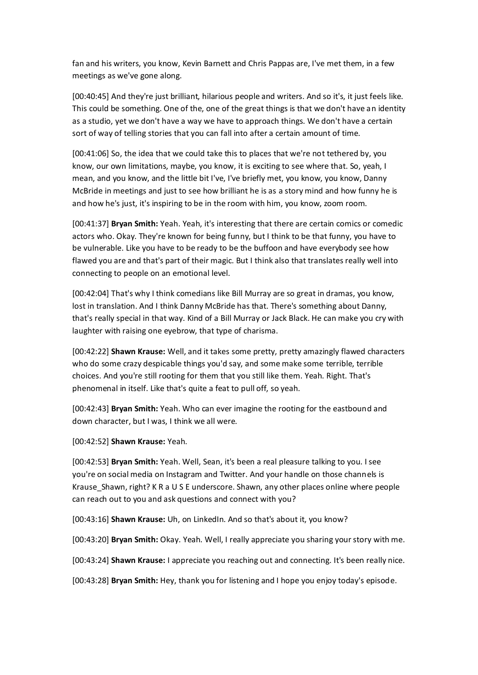fan and his writers, you know, Kevin Barnett and Chris Pappas are, I've met them, in a few meetings as we've gone along.

[00:40:45] And they're just brilliant, hilarious people and writers. And so it's, it just feels like. This could be something. One of the, one of the great things is that we don't have an identity as a studio, yet we don't have a way we have to approach things. We don't have a certain sort of way of telling stories that you can fall into after a certain amount of time.

[00:41:06] So, the idea that we could take this to places that we're not tethered by, you know, our own limitations, maybe, you know, it is exciting to see where that. So, yeah, I mean, and you know, and the little bit I've, I've briefly met, you know, you know, Danny McBride in meetings and just to see how brilliant he is as a story mind and how funny he is and how he's just, it's inspiring to be in the room with him, you know, zoom room.

[00:41:37] **Bryan Smith:** Yeah. Yeah, it's interesting that there are certain comics or comedic actors who. Okay. They're known for being funny, but I think to be that funny, you have to be vulnerable. Like you have to be ready to be the buffoon and have everybody see how flawed you are and that's part of their magic. But I think also that translates really well into connecting to people on an emotional level.

[00:42:04] That's why I think comedians like Bill Murray are so great in dramas, you know, lost in translation. And I think Danny McBride has that. There's something about Danny, that's really special in that way. Kind of a Bill Murray or Jack Black. He can make you cry with laughter with raising one eyebrow, that type of charisma.

[00:42:22] **Shawn Krause:** Well, and it takes some pretty, pretty amazingly flawed characters who do some crazy despicable things you'd say, and some make some terrible, terrible choices. And you're still rooting for them that you still like them. Yeah. Right. That's phenomenal in itself. Like that's quite a feat to pull off, so yeah.

[00:42:43] **Bryan Smith:** Yeah. Who can ever imagine the rooting for the eastbound and down character, but I was, I think we all were.

[00:42:52] **Shawn Krause:** Yeah.

[00:42:53] **Bryan Smith:** Yeah. Well, Sean, it's been a real pleasure talking to you. I see you're on social media on Instagram and Twitter. And your handle on those channels is Krause Shawn, right? K R a U S E underscore. Shawn, any other places online where people can reach out to you and ask questions and connect with you?

[00:43:16] **Shawn Krause:** Uh, on LinkedIn. And so that's about it, you know?

[00:43:20] **Bryan Smith:** Okay. Yeah. Well, I really appreciate you sharing your story with me.

[00:43:24] **Shawn Krause:** I appreciate you reaching out and connecting. It's been really nice.

[00:43:28] **Bryan Smith:** Hey, thank you for listening and I hope you enjoy today's episode.